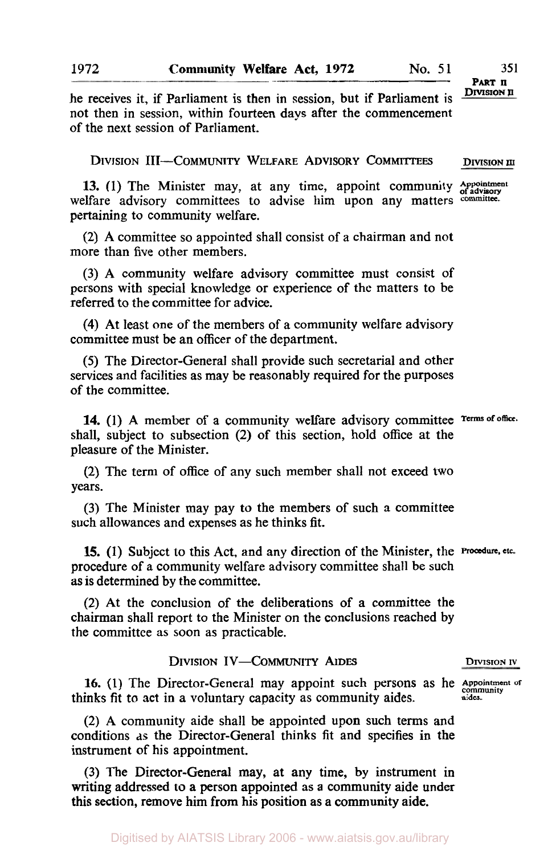**1972** 

# **DIVISION II PART II**

he receives it, if Parliament is then in session, but if Parliament is not then in session, within fourteen days after the commencement of the next session of Parliament.

DIVISION III-COMMUNITY WELFARE ADVISORY COMMITTEES **DIVISION III** 

13. (1) The Minister may, at any time, appoint community **Appointment** of advisory committees to advise him upon any matters committee. welfare advisory committees to advise him upon any matters pertaining to community welfare.

(2) A committee so appointed shall consist of a chairman and not more than five other members.

(3) A community welfare advisory committee must consist of persons with special knowledge or experience of the matters to be referred to the committee for advice.

**(4)** At least one of the members of a community welfare advisory committee must be an officer of the department.

(5) The Director-General shall provide such secretarial and other services and facilities as may be reasonably required for the purposes of the committee.

**14.** (1) A member of a community welfare advisory committee **Terms of office**  shall, subject to subsection (2) of this section, hold office at the pleasure of the Minister.

(2) The term of office of any such member shall not exceed two years.

(3) The Minister may pay to the members of such a committee such allowances and expenses as he thinks fit.

**15.** (1) Subject to this Act, and any direction of the Minister, the **Procedure, etc.**  procedure of a community welfare advisory committee shall be such as is determined by the committee.

(2) At the conclusion of the deliberations of a committee the chairman shall report to the Minister on the conclusions reached by the committee as soon as practicable.

### **DIVISION IV-COMMUNITY AIDES DIVISION IV**

16. (1) The Director-General may appoint such persons as he **Appointment communuty of**  thinks fit to act in a voluntary capacity as community aides. **aides.** 

(2) A community aide shall be appointed upon such terms and conditions **as** the Director-General thinks fit and specifies **in** the instrument of his appointment.

(3) The Director-General may, at any time, by instrument in writing addressed **to** a person appointed as **a** community aide under this section, remove him from his position as a community aide.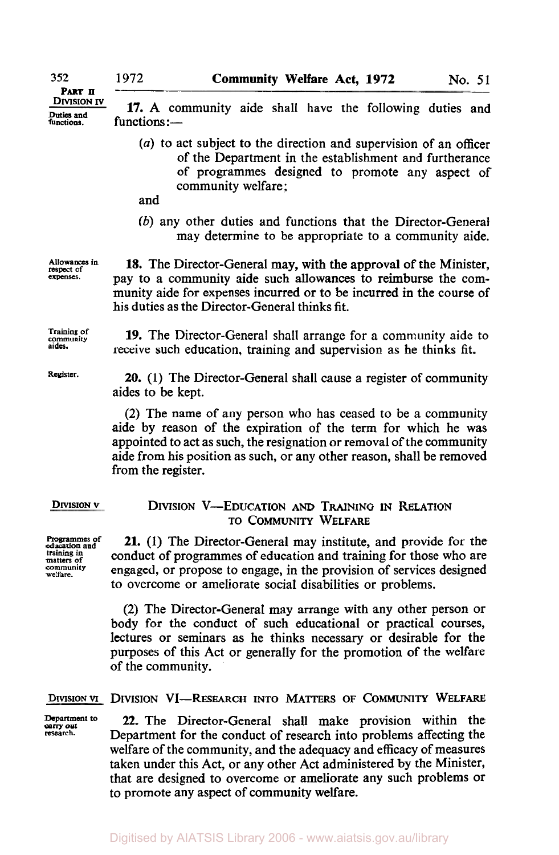**Duties and** 

**PART II** 

**17.** A community aide shall have the following duties and functions :-

- *(a)* to act subject to the direction and supervision of an officer of the Department in the establishment and furtherance of programmes designed to promote any aspect of community welfare:
- and
- *(b)* any other duties and functions that the Director-General may determine to be appropriate to a community aide.

**Allowances** in **expenses.** 

**community** 

**Register.** 

**18.** The Director-General may, with **the** approval of the Minister, pay to a community aide such allowances to reimburse the community aide for expenses incurred or to be incurred in the course of his duties as the Director-General thinks fit.

**19.** The Director-General shall arrange for a community aide to **Training of**  receive such education, training and supervision as he thinks fit.

> **20. (1)** The Director-General shall cause a register of community aides to be kept.

> (2) The name of any person who has ceased to be a community aide by reason of the expiration of the term for which he was appointed to act as such, the resignation or removal of the community aide from his position as such, or any other reason, shall be removed from the register.

### **DIVISION v**

**Programmes of education and**  matters of<br>community welfare.

### DIVISION **V-EDUCATION** AND TRAINING **IN** RELATION **TO COMMUNITY** WELFARE

**21. (1)** The Director-General may institute, and provide for the conduct of programmes of education and training for those who are engaged, or propose to engage, in the provision of services designed to overcome or ameliorate social disabilities or problems.

(2) The Director-General may arrange with any other person or body for the conduct of such educational or practical courses, lectures or seminars as he thinks necessary or desirable for the purposes of this Act or generally for the promotion of the welfare of the community.

### **DIVISION VI** DIVISION **VI-RESEARCH** INTO MATTERS **OF COMMUNITY** WELFARE

**Department to 22.** The Director-General shall make provision within the carry out **C** research. Department for the conduct of research into problems affecting the welfare of the community, and the adequacy and efficacy of measures taken under this Act, or any other Act administered by the Minister, that are designed to overcome or ameliorate any such problems or to promote any aspect of community welfare.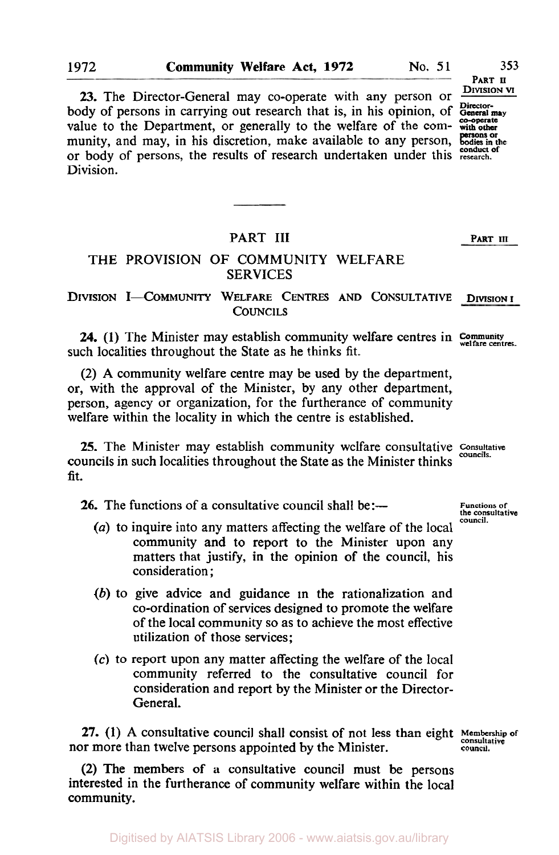body of persons in carrying out research that is, in his opinion, of General may value to the Department, or generally to the welfare of the com- with other munity, and may, in his discretion, make available to any person, bodies in the or body of persons, the results of research undertaken under this **research. conduct of**  Division. **23.** The Director-General may co-operate with any person or

## PART III **PART III**

## THE PROVISION OF COMMUNITY WELFARE SERVICES

# DIVISION **I-COMMUNITY** WELFARE CENTRES AND CONSULTATIVE **DIVISION** I **COUNCILS**

**24.** (1) The Minister may establish community welfare centres in **Community welfare centres.**  such localities throughout the State as he thinks fit.

(2) **A** community welfare centre may be used by the department, or, with the approval of the Minister, by any other department, person, agency or organization, for the furtherance of community welfare within the locality in which the centre is established.

**25.** The Minister may establish community welfare consultative **Consultative councils.** councils in such localities throughout the State as the Minister thinks fit.

**26.** The functions of a consultative council shall be:—

- *(a)* to inquire into any matters affecting the welfare of the local community and to report to the Minister upon any matters that justify, in the opinion of the council, his consideration ;
- *(b)* to give advice and guidance in the rationalization and co-ordination of services designed to promote the welfare of the local community so as to achieve the most effective utilization of those services;
- *(c)* to report upon any matter affecting the welfare of the local community referred to the consultative council for consideration and report by the Minister or the Director-General.

**27.** (1) A consultative council shall consist of not less than eight **Membership of** consultative council shall consultative council. nor more than twelve persons appointed by the Minister.

**(2)** The members of a consultative council must be persons interested in the furtherance of community welfare within the local community.

**Functions of the consultative council.** 

**PART II DIVISION VI**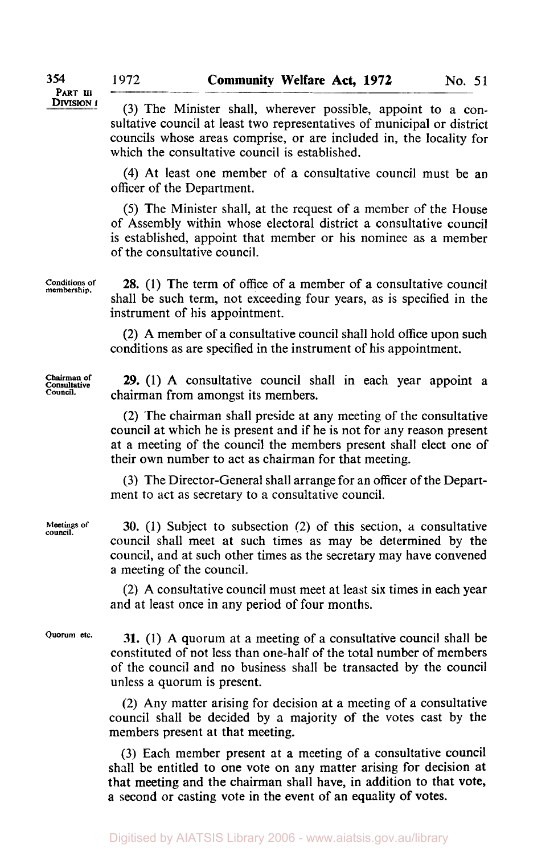**(3)** The Minister shall, wherever possible, appoint to a consultative council at least two representatives of municipal or district councils whose areas comprise, or are included in, the locality for which the consultative council is established.

**(4)** At least one member of a consultative council must be an officer of the Department.

(5) The Minister shall, at the request of a member of the House of Assembly within whose electoral district a consultative council is established, appoint that member or his nominee as a member of the consultative council.

**28.** (1) The term of office of a member of a consultative council shall be such term, not exceeding four years, as is specified in the instrument of his appointment.

**(2)** A member of a consultative council shall hold office upon such conditions as are specified in the instrument of his appointment.

**Chairman of Consultative Council.** 

**Conditions of membership.** 

> **29.** (1) **A** consultative council shall in each year appoint a chairman from amongst its members.

> **(2)** The chairman shall preside at any meeting of the consultative council at which he is present and if he is not for any reason present at a meeting of the council the members present shall elect one of their own number to act as chairman for that meeting.

> **(3)** The Director-General shall arrange for an officer of the Department to act as secretary to a consultative council.

> **30.** (1) Subject to subsection (2) of **this** section, **a** consultative council shall meet at such times as may be determined by the council, and at such other times as the secretary may have convened a meeting of the council.

> (2) A consultative council must meet at least **six** times in each year and at least once in any period of four months.

**Quorum etc.** 

**Meetings of council.** 

> **31.** (1) A quorum at a meeting of a consultative council shall be constituted of not less than one-half of the total number of members of the council and no business shall be transacted by the council unless a quorum is present.

> (2) Any matter arising for decision at a meeting of **a** consultative council shall be decided by a majority of the votes cast by the members present at that meeting.

> **(3)** Each member present at **a** meeting of a consultative council shall be entitled to one vote on any matter arising for decision at that meeting and the chairman shall have, in addition to that **vote,**  a second or casting vote in the event **of** an equality **of** votes.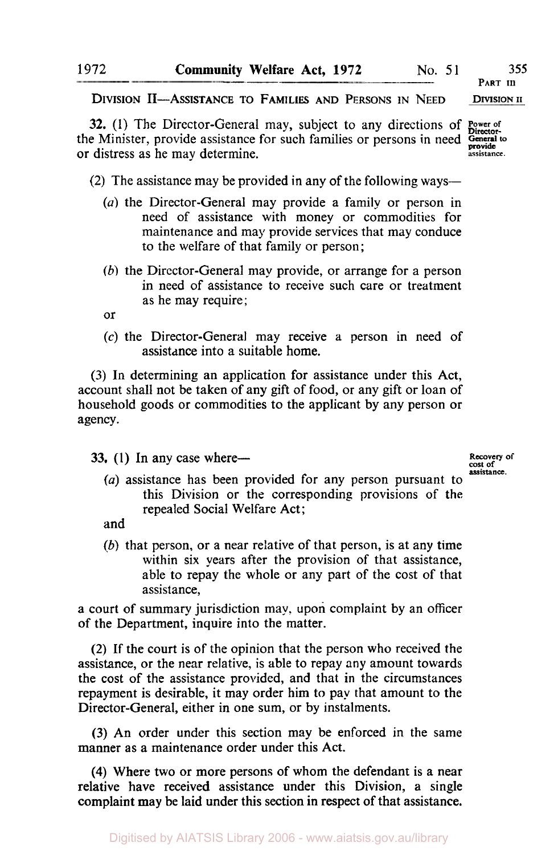**PART III DIVISION II** 

**DIVISION** 11-ASSISTANCE TO **FAMILIES AND PERSONS IN NEED** 

**32.** (1) The Director-General may, subject to any directions of **Power of** the Minister, provide assistance for such families or persons in need *General to* **assistance.**  or distress as he may determine.

- (2) The assistance may be provided in any of the following ways-
	- *(a)* the Director-General may provide a family or person in need of assistance with money or commodities for maintenance and may provide services that may conduce to the welfare of that family or person;
	- *(b)* the Director-General may provide, or arrange for a person in need of assistance to receive such care or treatment as he may require;

or

**(c)** the Director-General may receive a person in need of assistance into a suitable home.

**(3)** In determining an application for assistance under this Act, account shall not be taken of any gift of food, or any gift or loan of household goods or commodities to the applicant by any person or agency.

**33.** (1) In any case where-

**Recovery of cost of assistance.** 

*(a)* assistance has been provided for any person pursuant to this Division or the corresponding provisions of the repealed Social Welfare Act ;

and

*(b)* that person, or a near relative of that person, is at any time within six years after the provision of that assistance, able to repay the whole or any part of the cost of that assistance,

a court of summary jurisdiction may. upon complaint by an officer of the Department, inquire into the matter.

**(2)** If the court is of the opinion that the person who received the assistance, or the near relative, is able to repay any amount towards the cost of the assistance provided, and that in the circumstances repayment is desirable, it may order him to pay that amount to the Director-General, either in one sum, or by instalments.

**(3)** An order under this section may be enforced in the same manner **as** a maintenance order under this Act.

**(4)** Where two or more persons of whom the defendant is a near relative have received assistance under this Division, a single complaint may be laid under this section **in** respect of that assistance.

**1972**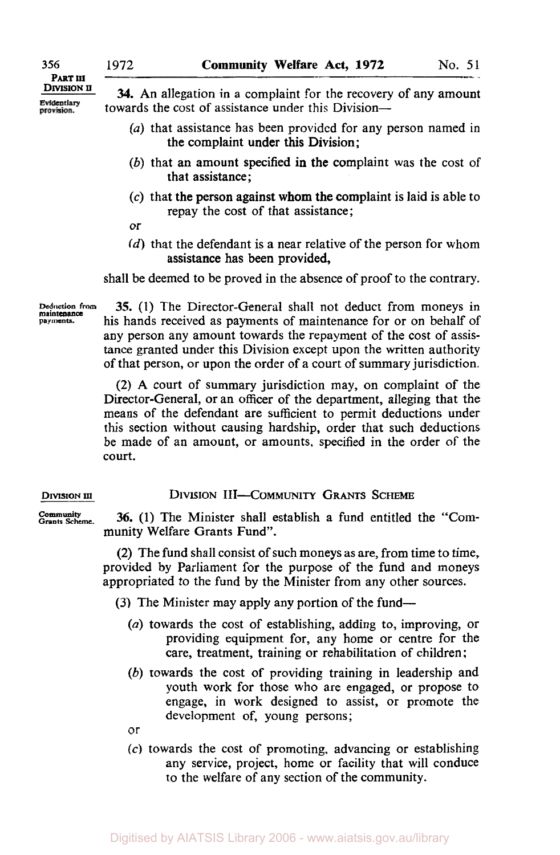**PART III** 

provision.

 $\frac{\text{Divisor on}}{\text{Evidentary}}$  **34.** An allegation in a complaint for the recovery of any amount towards the cost of assistance under this Division-

- (a) that assistance has been provided for any person named in the complaint under this Division;
- (b) that an amount specified in the complaint was the cost of that assistance;
- **(c)** that the person against whom the complaint is laid is able to repay the cost of that assistance;
- or
- *(d)* that the defendant is a near relative of the person for whom assistance has been provided,

shall be deemed to be proved in the absence of proof to the contrary.

**Deduction from payments. maintenance** 

**35. (1)** The Director-General shall not deduct from moneys in his hands received as payments of maintenance for or on behalf of any person any amount towards the repayment of the cost of assistance granted under this Division except upon the written authority of that person, or upon the order of a court of summary jurisdiction.

(2) A court of summary jurisdiction may, on complaint of the Director-General, or an officer of the department, alleging that the means of the defendant are sufficient to permit deductions under this section without causing hardship, order that such deductions be made of an amount, or amounts, specified in the order of the court.

**DIVISION III-COMMUNITY GRANTS SCHEME** 

Community **Grants Scheme. 36.** (1) The Minister shall establish a fund entitled the "Community Welfare Grants Fund".

> (2) The fund shall consist of such moneys as are, from time to time, provided by Parliament for the purpose of the fund and moneys appropriated to the fund by the Minister from any other sources.

**(3)** The Minister may apply any portion of the fund-

- (a) towards the cost of establishing, adding to, improving, or providing equipment for, any home or centre for the care, treatment, training or rehabilitation of children :
- (b) towards the cost of providing training in leadership and youth work for those who are engaged, or propose to engage, in work designed to assist, or promote the development of, young persons;

or

**(c)** towards the cost of promoting, advancing or establishing any service, project, home or facility that will conduce to the welfare of any section of the community.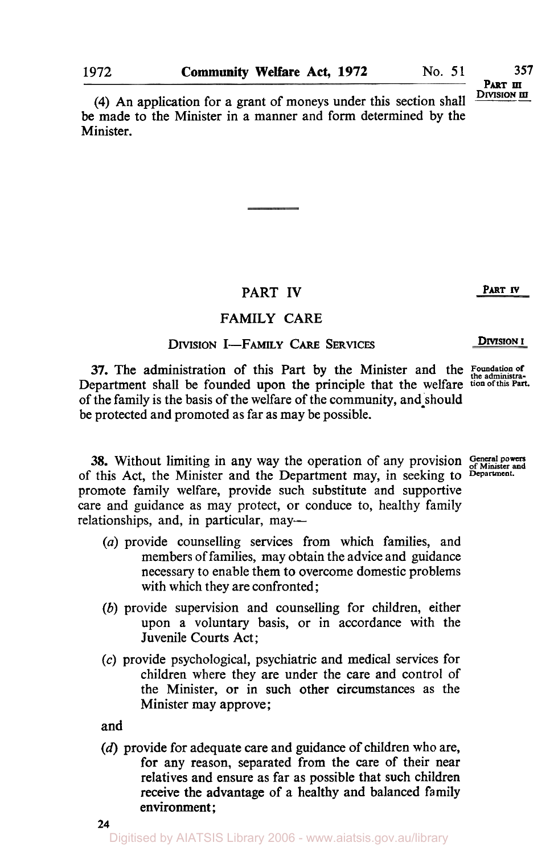**Part <b>III**<br>Division **iii** 

**(4)** An application for a grant of moneys under this section shall be made to the Minister in a manner and form determined by the Minister.

# PART **IV** PART IV

## **FAMILY** CARE

# **DIVISION I-FAMILY CARE SERVICES DIVISION I**

**37.** The administration of this Part by the Minister and the *Foundation of the administra-*Department shall be founded upon the principle that the welfare **tion of this Part.**  of the family is the basis of the welfare of the community, and should be protected and promoted as far as may be possible.

**38.** Without limiting in any way the operation of any provision General powers of Minister and the Department may in seeking to Department. of this Act, the Minister and the Department may, in seeking to promote family welfare, provide such substitute and supportive care and guidance as may protect, or conduce to, healthy family relationships, and, in particular, may-

- *(a)* provide counselling services from which families, and members of families, may obtain the advice and guidance necessary to enable them to overcome domestic problems with which they are confronted;
- *(b)* provide supervision and counselling for children, either upon a voluntary basis, or in accordance with the Juvenile Courts Act;
- **(c)** provide psychological, psychiatric and medical services for children where they are under the care and control of the Minister, or in such other circumstances as the Minister may approve;

and

**(d)** provide for adequate care and guidance **of** children who are, for any reason, separated from the care of their near relatives and ensure as far as possible that such children receive the advantage of a healthy and balanced family environment ;

Digitised by AIATSIS Library 2006 - www.aiatsis.gov.au/library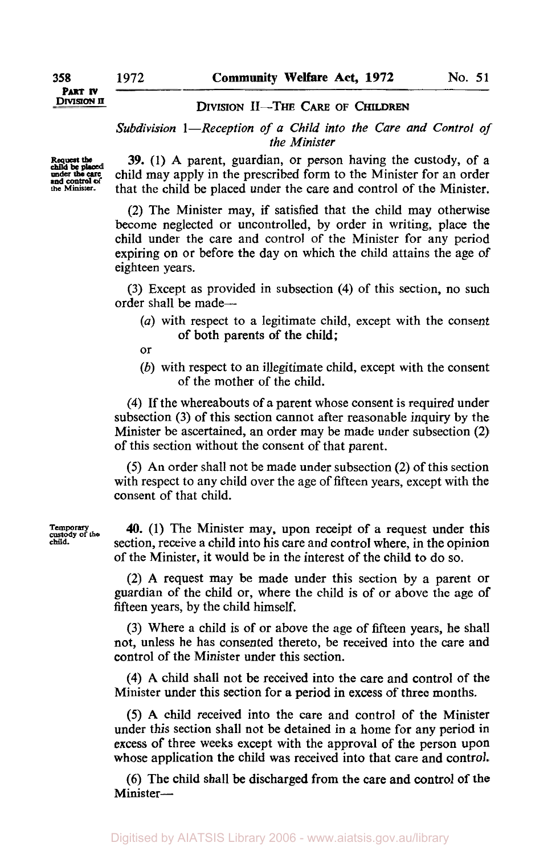**DIVISION II** 

### **DIVISION II-THE CARE OF CHILDREN**

*Subdivision 1-Reception of a Child into the Care and Control of the Minister* 

**Request the under the Minister. child be placed**  care **and control of** 

**39.** (1) **A** parent, guardian, or person having the custody, of a child may apply in the prescribed form to the Minister for an order that the child be placed under the care and control of the Minister.

**(2)** The Minister may, if satisfied that the child may otherwise become neglected or uncontrolled, by order in writing, place the child under the care and control of the Minister for any period expiring on or before the day on which the child attains the age of eighteen years.

**(3)** Except as provided in subsection **(4)** of this section, no such order shall be made-

- *(a)* with respect to a legitimate child, except with the consent of both parents of the child;
- or
- *(b)* with respect to an illegitimate child, except with the consent of the mother of the child.

**(4)** If the whereabouts of a parent whose consent is required under subsection **(3)** of this section cannot after reasonable inquiry by the Minister be ascertained, an order may be made under subsection **(2)**  of this section without the consent of that parent.

*(5)* An order shall not be made under subsection **(2)** of this section with respect to any child over the age of fifteen years, except with the consent of that child.

**40.** (1) The Minister may, upon receipt of a request under this section, receive a child into his care and control where, in the opinion of the Minister, it would be in the interest of the child to do *so.* 

**(2) A** request may be made under this section by a parent or guardian of the child or, where the child is of or above the age of fifteen years, by the child himself.

**(3)** Where a child is of or above the age of fifteen years, he shall not, unless he has consented thereto, be received into the care and control of the Minister under this section.

**(4) A** child shall not be received into the care and control of the Minister under this section for a period in excess of three months.

*(5)* **A** child received into the care and control of the Minister under this section shall not be detained in a home for any period in excess of three weeks except with the approval of the person upon whose application the child was received into that care and control.

**(6) The** child shall be discharged from the care and control **of** the Minister-

**Temporary custody** *of* **the child.**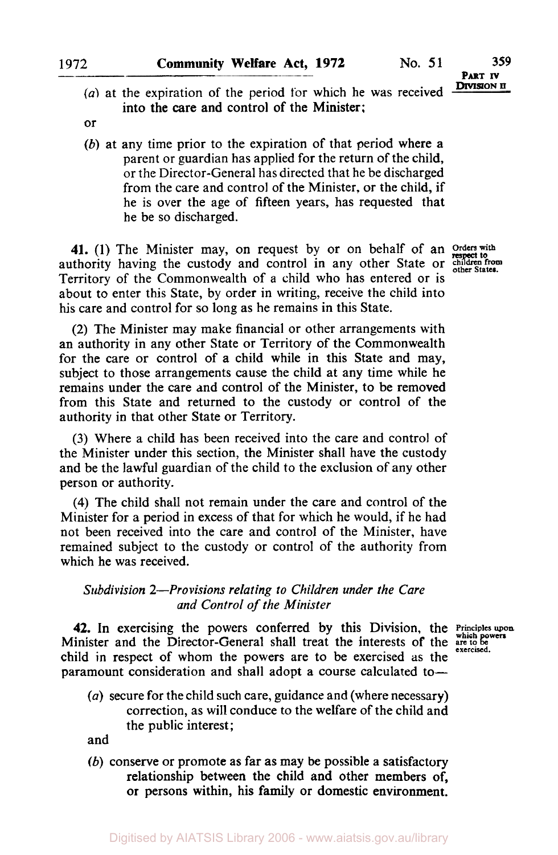- **PART IV DIVISION II**
- *(a)* at the expiration of the period for which he **was** received into the care and control of the Minister;
- or
- *(b)* at any time prior to the expiration of that period where a parent or guardian has applied for the return of the child, or the Director-General has directed that he be discharged from the care and control of the Minister, or the child, if he is over the age of fifteen years, has requested that he be so discharged.

**41.** (1) The Minister may, on request by or on behalf of an *Orders* **with**  authority having the custody and control in any other State or *children from other States*  Territory of the Commonwealth of a child who has entered or is about to enter this State, by order in writing, receive the child into his care and control for so long as he remains in this State.

respect **to** 

*(2)* The Minister may make financial or other arrangements with an authority in any other State or Territory of the Commonwealth for the care or control of a child while in this State and may, subject to those arrangements cause the child at any time while he remains under the care and control of the Minister, to be removed from this State and returned to the custody or control of the authority in that other State or Territory.

**(3)** Where a child has been received into the care and control of the Minister under this section, the Minister shall have the custody and be the lawful guardian of the child to the exclusion of any other person or authority.

**(4)** The child shall not remain under the care and control of the Minister for a period in excess of that for which he would, if he had not been received into the care and control of the Minister, have remained subject to the custody or control of the authority from which he was received.

### *Subdivision 2-Provisions relating to Children under the Care and Control of the Minister*

**42.** In exercising the powers conferred by this Division, the Principles upon Minister and the Director-General shall treat the interests of the are to be child in respect of whom the powers are to be exercised **as** the paramount consideration and shall adopt a course calculated to-

*(a)* secure for the child such care, guidance and (where necessary) correction, as will conduce to the welfare of the child and the public interest;

and

*(b)* conserve or promote **as** far as may be possible a satisfactory relationship between the child and other members of, or persons within, his **family** or domestic environment.